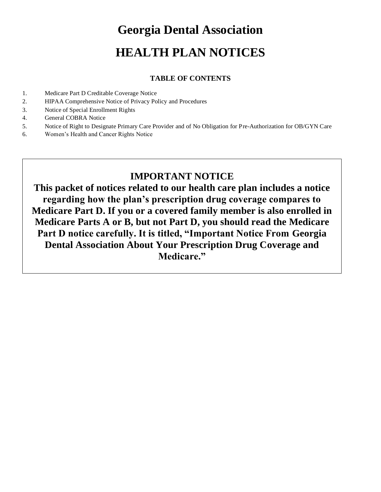# **Georgia Dental Association HEALTH PLAN NOTICES**

# **TABLE OF CONTENTS**

- 1. Medicare Part D Creditable Coverage Notice
- 2. HIPAA Comprehensive Notice of Privacy Policy and Procedures
- 3. Notice of Special Enrollment Rights
- 4. General COBRA Notice
- 5. Notice of Right to Designate Primary Care Provider and of No Obligation for Pre-Authorization for OB/GYN Care
- 6. Women's Health and Cancer Rights Notice

# **IMPORTANT NOTICE**

**This packet of notices related to our health care plan includes a notice regarding how the plan's prescription drug coverage compares to Medicare Part D. If you or a covered family member is also enrolled in Medicare Parts A or B, but not Part D, you should read the Medicare Part D notice carefully. It is titled, "Important Notice From Georgia Dental Association About Your Prescription Drug Coverage and Medicare."**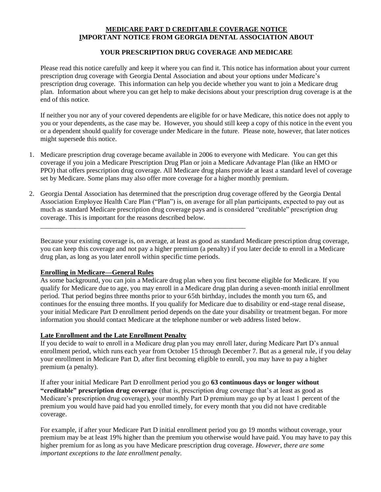### **MEDICARE PART D CREDITABLE COVERAGE NOTICE IMPORTANT NOTICE FROM GEORGIA DENTAL ASSOCIATION ABOUT**

#### **YOUR PRESCRIPTION DRUG COVERAGE AND MEDICARE**

Please read this notice carefully and keep it where you can find it. This notice has information about your current prescription drug coverage with Georgia Dental Association and about your options under Medicare's prescription drug coverage. This information can help you decide whether you want to join a Medicare drug plan. Information about where you can get help to make decisions about your prescription drug coverage is at the end of this notice.

If neither you nor any of your covered dependents are eligible for or have Medicare, this notice does not apply to you or your dependents, as the case may be. However, you should still keep a copy of this notice in the event you or a dependent should qualify for coverage under Medicare in the future. Please note, however, that later notices might supersede this notice.

- 1. Medicare prescription drug coverage became available in 2006 to everyone with Medicare. You can get this coverage if you join a Medicare Prescription Drug Plan or join a Medicare Advantage Plan (like an HMO or PPO) that offers prescription drug coverage. All Medicare drug plans provide at least a standard level of coverage set by Medicare. Some plans may also offer more coverage for a higher monthly premium.
- 2. Georgia Dental Association has determined that the prescription drug coverage offered by the Georgia Dental Association Employee Health Care Plan ("Plan") is, on average for all plan participants, expected to pay out as much as standard Medicare prescription drug coverage pays and is considered "creditable" prescription drug coverage. This is important for the reasons described below.

\_\_\_\_\_\_\_\_\_\_\_\_\_\_\_\_\_\_\_\_\_\_\_\_\_\_\_\_\_\_\_\_\_\_\_\_\_\_\_\_\_\_\_\_\_\_\_\_\_\_\_\_\_\_\_\_\_\_\_\_

Because your existing coverage is, on average, at least as good as standard Medicare prescription drug coverage, you can keep this coverage and not pay a higher premium (a penalty) if you later decide to enroll in a Medicare drug plan, as long as you later enroll within specific time periods.

#### **Enrolling in Medicare—General Rules**

As some background, you can join a Medicare drug plan when you first become eligible for Medicare. If you qualify for Medicare due to age, you may enroll in a Medicare drug plan during a seven-month initial enrollment period. That period begins three months prior to your 65th birthday, includes the month you turn 65, and continues for the ensuing three months. If you qualify for Medicare due to disability or end-stage renal disease, your initial Medicare Part D enrollment period depends on the date your disability or treatment began. For more information you should contact Medicare at the telephone number or web address listed below.

#### **Late Enrollment and the Late Enrollment Penalty**

If you decide to *wait* to enroll in a Medicare drug plan you may enroll later, during Medicare Part D's annual enrollment period, which runs each year from October 15 through December 7. But as a general rule, if you delay your enrollment in Medicare Part D, after first becoming eligible to enroll, you may have to pay a higher premium (a penalty).

If after your initial Medicare Part D enrollment period you go **63 continuous days or longer without "creditable" prescription drug coverage** (that is, prescription drug coverage that's at least as good as Medicare's prescription drug coverage), your monthly Part D premium may go up by at least 1 percent of the premium you would have paid had you enrolled timely, for every month that you did not have creditable coverage.

For example, if after your Medicare Part D initial enrollment period you go 19 months without coverage, your premium may be at least 19% higher than the premium you otherwise would have paid. You may have to pay this higher premium for as long as you have Medicare prescription drug coverage. *However, there are some important exceptions to the late enrollment penalty.*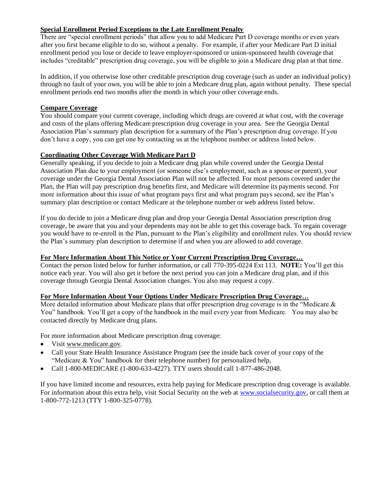#### **Special Enrollment Period Exceptions to the Late Enrollment Penalty**

There are "special enrollment periods" that allow you to add Medicare Part D coverage months or even years after you first became eligible to do so, without a penalty. For example, if after your Medicare Part D initial enrollment period you lose or decide to leave employer-sponsored or union-sponsored health coverage that includes "creditable" prescription drug coverage, you will be eligible to join a Medicare drug plan at that time.

In addition, if you otherwise lose other creditable prescription drug coverage (such as under an individual policy) through no fault of your own, you will be able to join a Medicare drug plan, again without penalty. These special enrollment periods end two months after the month in which your other coverage ends.

#### **Compare Coverage**

You should compare your current coverage, including which drugs are covered at what cost, with the coverage and costs of the plans offering Medicare prescription drug coverage in your area. See the Georgia Dental Association Plan's summary plan description for a summary of the Plan's prescription drug coverage. If you don't have a copy, you can get one by contacting us at the telephone number or address listed below.

#### **Coordinating Other Coverage With Medicare Part D**

Generally speaking, if you decide to join a Medicare drug plan while covered under the Georgia Dental Association Plan due to your employment (or someone else's employment, such as a spouse or parent), your coverage under the Georgia Dental Association Plan will not be affected. For most persons covered under the Plan, the Plan will pay prescription drug benefits first, and Medicare will determine its payments second. For more information about this issue of what program pays first and what program pays second, see the Plan's summary plan description or contact Medicare at the telephone number or web address listed below.

If you do decide to join a Medicare drug plan and drop your Georgia Dental Association prescription drug coverage, be aware that you and your dependents may not be able to get this coverage back. To regain coverage you would have to re-enroll in the Plan, pursuant to the Plan's eligibility and enrollment rules. You should review the Plan's summary plan description to determine if and when you are allowed to add coverage.

#### **For More Information About This Notice or Your Current Prescription Drug Coverage…**

Contact the person listed below for further information, or call 770-395-0224 Ext 113. **NOTE:** You'll get this notice each year. You will also get it before the next period you can join a Medicare drug plan, and if this coverage through Georgia Dental Association changes. You also may request a copy.

#### **For More Information About Your Options Under Medicare Prescription Drug Coverage…**

More detailed information about Medicare plans that offer prescription drug coverage is in the "Medicare & You" handbook. You'll get a copy of the handbook in the mail every year from Medicare. You may also be contacted directly by Medicare drug plans.

For more information about Medicare prescription drug coverage:

- Visit [www.medicare.gov.](http://www.medicare.gov/)
- Call your State Health Insurance Assistance Program (see the inside back cover of your copy of the "Medicare  $& You"$  handbook for their telephone number) for personalized help,
- Call 1-800-MEDICARE (1-800-633-4227). TTY users should call 1-877-486-2048.

If you have limited income and resources, extra help paying for Medicare prescription drug coverage is available. For information about this extra help, visit Social Security on the web at [www.socialsecurity.gov,](http://www.socialsecurity.gov/) or call them at 1-800-772-1213 (TTY 1-800-325-0778).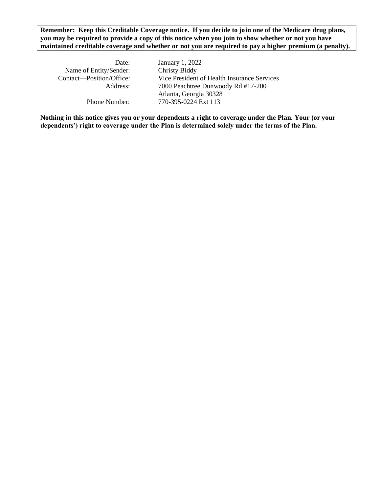**Remember: Keep this Creditable Coverage notice. If you decide to join one of the Medicare drug plans, you may be required to provide a copy of this notice when you join to show whether or not you have maintained creditable coverage and whether or not you are required to pay a higher premium (a penalty).** 

| Date:                    |  |
|--------------------------|--|
| Name of Entity/Sender:   |  |
| Contact-Position/Office: |  |
| Address:                 |  |
|                          |  |
| Dhong Numbor             |  |

January 1, 2022 Christy Biddy Contact—Position/Office: Vice President of Health Insurance Services 7000 Peachtree Dunwoody Rd #17-200 Atlanta, Georgia 30328 Phone Number: 770-395-0224 Ext 113

**Nothing in this notice gives you or your dependents a right to coverage under the Plan. Your (or your dependents') right to coverage under the Plan is determined solely under the terms of the Plan.**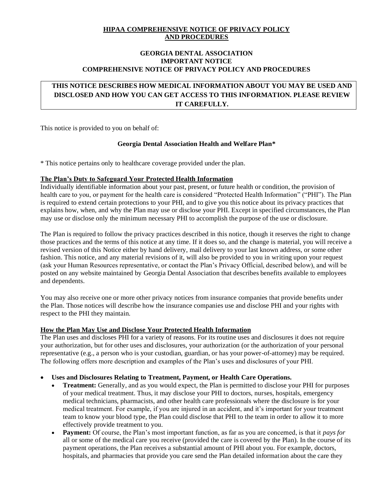#### **HIPAA COMPREHENSIVE NOTICE OF PRIVACY POLICY AND PROCEDURES**

#### **GEORGIA DENTAL ASSOCIATION IMPORTANT NOTICE COMPREHENSIVE NOTICE OF PRIVACY POLICY AND PROCEDURES**

# **THIS NOTICE DESCRIBES HOW MEDICAL INFORMATION ABOUT YOU MAY BE USED AND DISCLOSED AND HOW YOU CAN GET ACCESS TO THIS INFORMATION. PLEASE REVIEW IT CAREFULLY.**

This notice is provided to you on behalf of:

#### **Georgia Dental Association Health and Welfare Plan\***

\* This notice pertains only to healthcare coverage provided under the plan.

#### **The Plan's Duty to Safeguard Your Protected Health Information**

Individually identifiable information about your past, present, or future health or condition, the provision of health care to you, or payment for the health care is considered "Protected Health Information" ("PHI"). The Plan is required to extend certain protections to your PHI, and to give you this notice about its privacy practices that explains how, when, and why the Plan may use or disclose your PHI. Except in specified circumstances, the Plan may use or disclose only the minimum necessary PHI to accomplish the purpose of the use or disclosure.

The Plan is required to follow the privacy practices described in this notice, though it reserves the right to change those practices and the terms of this notice at any time. If it does so, and the change is material, you will receive a revised version of this Notice either by hand delivery, mail delivery to your last known address, or some other fashion. This notice, and any material revisions of it, will also be provided to you in writing upon your request (ask your Human Resources representative, or contact the Plan's Privacy Official, described below), and will be posted on any website maintained by Georgia Dental Association that describes benefits available to employees and dependents.

You may also receive one or more other privacy notices from insurance companies that provide benefits under the Plan. Those notices will describe how the insurance companies use and disclose PHI and your rights with respect to the PHI they maintain.

#### **How the Plan May Use and Disclose Your Protected Health Information**

The Plan uses and discloses PHI for a variety of reasons. For its routine uses and disclosures it does not require your authorization, but for other uses and disclosures, your authorization (or the authorization of your personal representative (e.g., a person who is your custodian, guardian, or has your power-of-attorney) may be required. The following offers more description and examples of the Plan's uses and disclosures of your PHI.

#### • **Uses and Disclosures Relating to Treatment, Payment, or Health Care Operations.**

- **Treatment:** Generally, and as you would expect, the Plan is permitted to disclose your PHI for purposes of your medical treatment. Thus, it may disclose your PHI to doctors, nurses, hospitals, emergency medical technicians, pharmacists, and other health care professionals where the disclosure is for your medical treatment. For example, if you are injured in an accident, and it's important for your treatment team to know your blood type, the Plan could disclose that PHI to the team in order to allow it to more effectively provide treatment to you.
- **Payment:** Of course, the Plan's most important function, as far as you are concerned, is that it *pays for* all or some of the medical care you receive (provided the care is covered by the Plan). In the course of its payment operations, the Plan receives a substantial amount of PHI about you. For example, doctors, hospitals, and pharmacies that provide you care send the Plan detailed information about the care they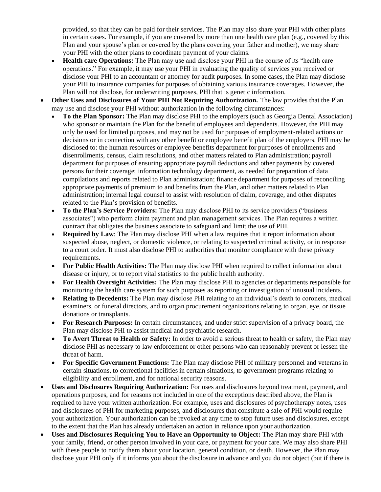provided, so that they can be paid for their services. The Plan may also share your PHI with other plans in certain cases. For example, if you are covered by more than one health care plan (e.g., covered by this Plan and your spouse's plan or covered by the plans covering your father and mother), we may share your PHI with the other plans to coordinate payment of your claims.

- **Health care Operations:** The Plan may use and disclose your PHI in the course of its "health care operations." For example, it may use your PHI in evaluating the quality of services you received or disclose your PHI to an accountant or attorney for audit purposes. In some cases, the Plan may disclose your PHI to insurance companies for purposes of obtaining various insurance coverages. However, the Plan will not disclose, for underwriting purposes, PHI that is genetic information.
- **Other Uses and Disclosures of Your PHI Not Requiring Authorization.** The law provides that the Plan may use and disclose your PHI without authorization in the following circumstances:
	- **To the Plan Sponsor:** The Plan may disclose PHI to the employers (such as Georgia Dental Association) who sponsor or maintain the Plan for the benefit of employees and dependents. However, the PHI may only be used for limited purposes, and may not be used for purposes of employment-related actions or decisions or in connection with any other benefit or employee benefit plan of the employers. PHI may be disclosed to: the human resources or employee benefits department for purposes of enrollments and disenrollments, census, claim resolutions, and other matters related to Plan administration; payroll department for purposes of ensuring appropriate payroll deductions and other payments by covered persons for their coverage; information technology department, as needed for preparation of data compilations and reports related to Plan administration; finance department for purposes of reconciling appropriate payments of premium to and benefits from the Plan, and other matters related to Plan administration; internal legal counsel to assist with resolution of claim, coverage, and other disputes related to the Plan's provision of benefits.
	- **To the Plan's Service Providers:** The Plan may disclose PHI to its service providers ("business associates") who perform claim payment and plan management services. The Plan requires a written contract that obligates the business associate to safeguard and limit the use of PHI.
	- **Required by Law**: The Plan may disclose PHI when a law requires that it report information about suspected abuse, neglect, or domestic violence, or relating to suspected criminal activity, or in response to a court order. It must also disclose PHI to authorities that monitor compliance with these privacy requirements.
	- **For Public Health Activities:** The Plan may disclose PHI when required to collect information about disease or injury, or to report vital statistics to the public health authority.
	- **For Health Oversight Activities:** The Plan may disclose PHI to agencies or departments responsible for monitoring the health care system for such purposes as reporting or investigation of unusual incidents.
	- **Relating to Decedents:** The Plan may disclose PHI relating to an individual's death to coroners, medical examiners, or funeral directors, and to organ procurement organizations relating to organ, eye, or tissue donations or transplants.
	- **For Research Purposes:** In certain circumstances, and under strict supervision of a privacy board, the Plan may disclose PHI to assist medical and psychiatric research.
	- **To Avert Threat to Health or Safety:** In order to avoid a serious threat to health or safety, the Plan may disclose PHI as necessary to law enforcement or other persons who can reasonably prevent or lessen the threat of harm.
	- **For Specific Government Functions:** The Plan may disclose PHI of military personnel and veterans in certain situations, to correctional facilities in certain situations, to government programs relating to eligibility and enrollment, and for national security reasons.
- **Uses and Disclosures Requiring Authorization:** For uses and disclosures beyond treatment, payment, and operations purposes, and for reasons not included in one of the exceptions described above, the Plan is required to have your written authorization. For example, uses and disclosures of psychotherapy notes, uses and disclosures of PHI for marketing purposes, and disclosures that constitute a sale of PHI would require your authorization. Your authorization can be revoked at any time to stop future uses and disclosures, except to the extent that the Plan has already undertaken an action in reliance upon your authorization.
- **Uses and Disclosures Requiring You to Have an Opportunity to Object:** The Plan may share PHI with your family, friend, or other person involved in your care, or payment for your care. We may also share PHI with these people to notify them about your location, general condition, or death. However, the Plan may disclose your PHI only if it informs you about the disclosure in advance and you do not object (but if there is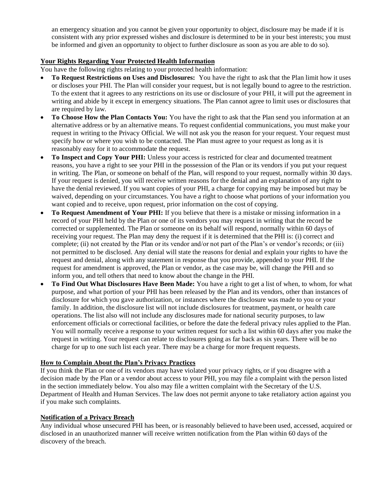an emergency situation and you cannot be given your opportunity to object, disclosure may be made if it is consistent with any prior expressed wishes and disclosure is determined to be in your best interests; you must be informed and given an opportunity to object to further disclosure as soon as you are able to do so).

# **Your Rights Regarding Your Protected Health Information**

You have the following rights relating to your protected health information:

- **To Request Restrictions on Uses and Disclosures:** You have the right to ask that the Plan limit how it uses or discloses your PHI. The Plan will consider your request, but is not legally bound to agree to the restriction. To the extent that it agrees to any restrictions on its use or disclosure of your PHI, it will put the agreement in writing and abide by it except in emergency situations. The Plan cannot agree to limit uses or disclosures that are required by law.
- **To Choose How the Plan Contacts You:** You have the right to ask that the Plan send you information at an alternative address or by an alternative means. To request confidential communications, you must make your request in writing to the Privacy Official. We will not ask you the reason for your request. Your request must specify how or where you wish to be contacted. The Plan must agree to your request as long as it is reasonably easy for it to accommodate the request.
- **To Inspect and Copy Your PHI:** Unless your access is restricted for clear and documented treatment reasons, you have a right to see your PHI in the possession of the Plan or its vendors if you put your request in writing. The Plan, or someone on behalf of the Plan, will respond to your request, normally within 30 days. If your request is denied, you will receive written reasons for the denial and an explanation of any right to have the denial reviewed. If you want copies of your PHI, a charge for copying may be imposed but may be waived, depending on your circumstances. You have a right to choose what portions of your information you want copied and to receive, upon request, prior information on the cost of copying.
- **To Request Amendment of Your PHI:** If you believe that there is a mistake or missing information in a record of your PHI held by the Plan or one of its vendors you may request in writing that the record be corrected or supplemented. The Plan or someone on its behalf will respond, normally within 60 days of receiving your request. The Plan may deny the request if it is determined that the PHI is: (i) correct and complete; (ii) not created by the Plan or its vendor and/or not part of the Plan's or vendor's records; or (iii) not permitted to be disclosed. Any denial will state the reasons for denial and explain your rights to have the request and denial, along with any statement in response that you provide, appended to your PHI. If the request for amendment is approved, the Plan or vendor, as the case may be, will change the PHI and so inform you, and tell others that need to know about the change in the PHI.
- **To Find Out What Disclosures Have Been Made:** You have a right to get a list of when, to whom, for what purpose, and what portion of your PHI has been released by the Plan and its vendors, other than instances of disclosure for which you gave authorization, or instances where the disclosure was made to you or your family. In addition, the disclosure list will not include disclosures for treatment, payment, or health care operations. The list also will not include any disclosures made for national security purposes, to law enforcement officials or correctional facilities, or before the date the federal privacy rules applied to the Plan. You will normally receive a response to your written request for such a list within 60 days after you make the request in writing. Your request can relate to disclosures going as far back as six years. There will be no charge for up to one such list each year. There may be a charge for more frequent requests.

#### **How to Complain About the Plan's Privacy Practices**

If you think the Plan or one of its vendors may have violated your privacy rights, or if you disagree with a decision made by the Plan or a vendor about access to your PHI, you may file a complaint with the person listed in the section immediately below. You also may file a written complaint with the Secretary of the U.S. Department of Health and Human Services. The law does not permit anyone to take retaliatory action against you if you make such complaints.

#### **Notification of a Privacy Breach**

Any individual whose unsecured PHI has been, or is reasonably believed to have been used, accessed, acquired or disclosed in an unauthorized manner will receive written notification from the Plan within 60 days of the discovery of the breach.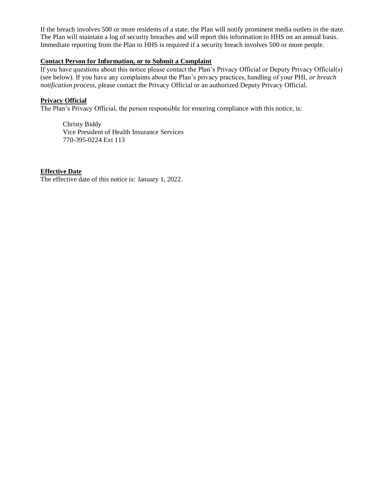If the breach involves 500 or more residents of a state, the Plan will notify prominent media outlets in the state. The Plan will maintain a log of security breaches and will report this information to HHS on an annual basis. Immediate reporting from the Plan to HHS is required if a security breach involves 500 or more people.

# **Contact Person for Information, or to Submit a Complaint**

If you have questions about this notice please contact the Plan's Privacy Official or Deputy Privacy Official(s) (see below). If you have any complaints about the Plan's privacy practices, handling of your PHI, *or breach notification process*, please contact the Privacy Official or an authorized Deputy Privacy Official.

#### **Privacy Official**

The Plan's Privacy Official, the person responsible for ensuring compliance with this notice, is:

Christy Biddy Vice President of Health Insurance Services 770-395-0224 Ext 113

#### **Effective Date**

The effective date of this notice is: January 1, 2022.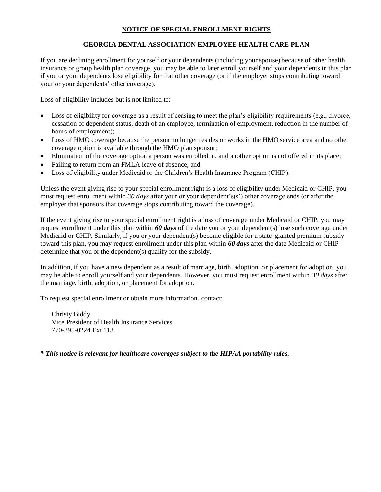# **NOTICE OF SPECIAL ENROLLMENT RIGHTS**

#### **GEORGIA DENTAL ASSOCIATION EMPLOYEE HEALTH CARE PLAN**

If you are declining enrollment for yourself or your dependents (including your spouse) because of other health insurance or group health plan coverage, you may be able to later enroll yourself and your dependents in this plan if you or your dependents lose eligibility for that other coverage (or if the employer stops contributing toward your or your dependents' other coverage).

Loss of eligibility includes but is not limited to:

- Loss of eligibility for coverage as a result of ceasing to meet the plan's eligibility requirements (e.g., divorce, cessation of dependent status, death of an employee, termination of employment, reduction in the number of hours of employment);
- Loss of HMO coverage because the person no longer resides or works in the HMO service area and no other coverage option is available through the HMO plan sponsor;
- Elimination of the coverage option a person was enrolled in, and another option is not offered in its place;
- Failing to return from an FMLA leave of absence; and
- Loss of eligibility under Medicaid or the Children's Health Insurance Program (CHIP).

Unless the event giving rise to your special enrollment right is a loss of eligibility under Medicaid or CHIP, you must request enrollment within *30 days* after your or your dependent's(s') other coverage ends (or after the employer that sponsors that coverage stops contributing toward the coverage).

If the event giving rise to your special enrollment right is a loss of coverage under Medicaid or CHIP, you may request enrollment under this plan within *60 days* of the date you or your dependent(s) lose such coverage under Medicaid or CHIP. Similarly, if you or your dependent(s) become eligible for a state-granted premium subsidy toward this plan, you may request enrollment under this plan within *60 days* after the date Medicaid or CHIP determine that you or the dependent(s) qualify for the subsidy.

In addition, if you have a new dependent as a result of marriage, birth, adoption, or placement for adoption, you may be able to enroll yourself and your dependents. However, you must request enrollment within *30 days* after the marriage, birth, adoption, or placement for adoption.

To request special enrollment or obtain more information, contact:

Christy Biddy Vice President of Health Insurance Services 770-395-0224 Ext 113

*\* This notice is relevant for healthcare coverages subject to the HIPAA portability rules.*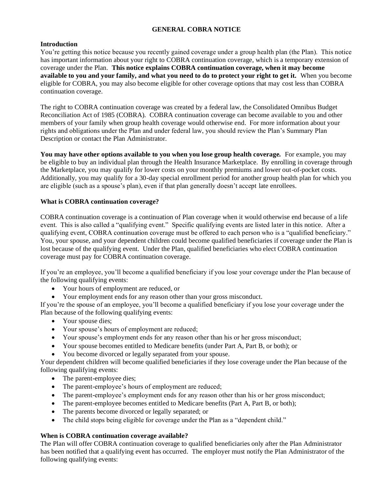# **GENERAL COBRA NOTICE**

# **Introduction**

You're getting this notice because you recently gained coverage under a group health plan (the Plan). This notice has important information about your right to COBRA continuation coverage, which is a temporary extension of coverage under the Plan. **This notice explains COBRA continuation coverage, when it may become available to you and your family, and what you need to do to protect your right to get it.** When you become eligible for COBRA, you may also become eligible for other coverage options that may cost less than COBRA continuation coverage.

The right to COBRA continuation coverage was created by a federal law, the Consolidated Omnibus Budget Reconciliation Act of 1985 (COBRA). COBRA continuation coverage can become available to you and other members of your family when group health coverage would otherwise end. For more information about your rights and obligations under the Plan and under federal law, you should review the Plan's Summary Plan Description or contact the Plan Administrator.

**You may have other options available to you when you lose group health coverage.** For example, you may be eligible to buy an individual plan through the Health Insurance Marketplace. By enrolling in coverage through the Marketplace, you may qualify for lower costs on your monthly premiums and lower out-of-pocket costs. Additionally, you may qualify for a 30-day special enrollment period for another group health plan for which you are eligible (such as a spouse's plan), even if that plan generally doesn't accept late enrollees.

# **What is COBRA continuation coverage?**

COBRA continuation coverage is a continuation of Plan coverage when it would otherwise end because of a life event. This is also called a "qualifying event." Specific qualifying events are listed later in this notice. After a qualifying event, COBRA continuation coverage must be offered to each person who is a "qualified beneficiary." You, your spouse, and your dependent children could become qualified beneficiaries if coverage under the Plan is lost because of the qualifying event. Under the Plan, qualified beneficiaries who elect COBRA continuation coverage must pay for COBRA continuation coverage.

If you're an employee, you'll become a qualified beneficiary if you lose your coverage under the Plan because of the following qualifying events:

- Your hours of employment are reduced, or
- Your employment ends for any reason other than your gross misconduct.

If you're the spouse of an employee, you'll become a qualified beneficiary if you lose your coverage under the Plan because of the following qualifying events:

- Your spouse dies;
- Your spouse's hours of employment are reduced;
- Your spouse's employment ends for any reason other than his or her gross misconduct;
- Your spouse becomes entitled to Medicare benefits (under Part A, Part B, or both); or
- You become divorced or legally separated from your spouse.

Your dependent children will become qualified beneficiaries if they lose coverage under the Plan because of the following qualifying events:

- The parent-employee dies;
- The parent-employee's hours of employment are reduced;
- The parent-employee's employment ends for any reason other than his or her gross misconduct;
- The parent-employee becomes entitled to Medicare benefits (Part A, Part B, or both);
- The parents become divorced or legally separated; or
- The child stops being eligible for coverage under the Plan as a "dependent child."

# **When is COBRA continuation coverage available?**

The Plan will offer COBRA continuation coverage to qualified beneficiaries only after the Plan Administrator has been notified that a qualifying event has occurred. The employer must notify the Plan Administrator of the following qualifying events: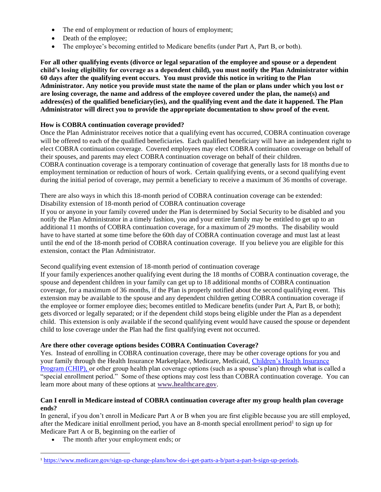- The end of employment or reduction of hours of employment;
- Death of the employee;
- The employee's becoming entitled to Medicare benefits (under Part A, Part B, or both).

**For all other qualifying events (divorce or legal separation of the employee and spouse or a dependent child's losing eligibility for coverage as a dependent child), you must notify the Plan Administrator within 60 days after the qualifying event occurs. You must provide this notice in writing to the Plan Administrator. Any notice you provide must state the name of the plan or plans under which you lost or are losing coverage, the name and address of the employee covered under the plan, the name(s) and address(es) of the qualified beneficiary(ies), and the qualifying event and the date it happened. The Plan Administrator will direct you to provide the appropriate documentation to show proof of the event.**

# **How is COBRA continuation coverage provided?**

Once the Plan Administrator receives notice that a qualifying event has occurred, COBRA continuation coverage will be offered to each of the qualified beneficiaries. Each qualified beneficiary will have an independent right to elect COBRA continuation coverage. Covered employees may elect COBRA continuation coverage on behalf of their spouses, and parents may elect COBRA continuation coverage on behalf of their children. COBRA continuation coverage is a temporary continuation of coverage that generally lasts for 18 months due to employment termination or reduction of hours of work. Certain qualifying events, or a second qualifying event during the initial period of coverage, may permit a beneficiary to receive a maximum of 36 months of coverage.

There are also ways in which this 18-month period of COBRA continuation coverage can be extended: Disability extension of 18-month period of COBRA continuation coverage

If you or anyone in your family covered under the Plan is determined by Social Security to be disabled and you notify the Plan Administrator in a timely fashion, you and your entire family may be entitled to get up to an additional 11 months of COBRA continuation coverage, for a maximum of 29 months. The disability would have to have started at some time before the 60th day of COBRA continuation coverage and must last at least until the end of the 18-month period of COBRA continuation coverage. If you believe you are eligible for this extension, contact the Plan Administrator.

# Second qualifying event extension of 18-month period of continuation coverage

If your family experiences another qualifying event during the 18 months of COBRA continuation coverage, the spouse and dependent children in your family can get up to 18 additional months of COBRA continuation coverage, for a maximum of 36 months, if the Plan is properly notified about the second qualifying event. This extension may be available to the spouse and any dependent children getting COBRA continuation coverage if the employee or former employee dies; becomes entitled to Medicare benefits (under Part A, Part B, or both); gets divorced or legally separated; or if the dependent child stops being eligible under the Plan as a dependent child. This extension is only available if the second qualifying event would have caused the spouse or dependent child to lose coverage under the Plan had the first qualifying event not occurred.

# **Are there other coverage options besides COBRA Continuation Coverage?**

Yes. Instead of enrolling in COBRA continuation coverage, there may be other coverage options for you and your family through the Health Insurance Marketplace, Medicare, Medicaid, [Children's Health Insurance](https://www.healthcare.gov/are-my-children-eligible-for-chip)  [Program \(CHIP\),](https://www.healthcare.gov/are-my-children-eligible-for-chip) or other group health plan coverage options (such as a spouse's plan) through what is called a "special enrollment period." Some of these options may cost less than COBRA continuation coverage. You can learn more about many of these options at **[www.healthcare.gov](https://www.dol.gov/ebsa/www.healthcare.gov)**.

#### **Can I enroll in Medicare instead of COBRA continuation coverage after my group health plan coverage ends?**

In general, if you don't enroll in Medicare Part A or B when you are first eligible because you are still employed, after the Medicare initial enrollment period, you have an 8-month special enrollment period<sup>1</sup> to sign up for Medicare Part A or B, beginning on the earlier of

• The month after your employment ends; or

<sup>1</sup> [https://www.medicare.gov/sign-up-change-plans/how-do-i-get-parts-a-b/part-a-part-b-sign-up-periods.](https://www.medicare.gov/sign-up-change-plans/how-do-i-get-parts-a-b/part-a-part-b-sign-up-periods)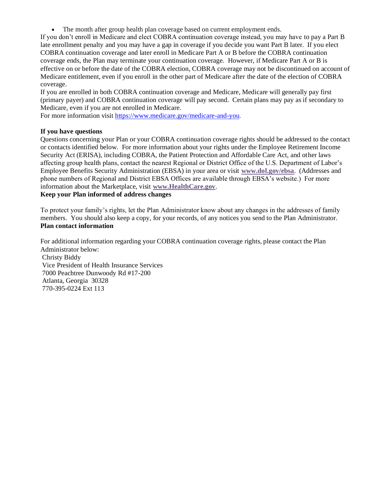• The month after group health plan coverage based on current employment ends.

If you don't enroll in Medicare and elect COBRA continuation coverage instead, you may have to pay a Part B late enrollment penalty and you may have a gap in coverage if you decide you want Part B later. If you elect COBRA continuation coverage and later enroll in Medicare Part A or B before the COBRA continuation coverage ends, the Plan may terminate your continuation coverage. However, if Medicare Part A or B is effective on or before the date of the COBRA election, COBRA coverage may not be discontinued on account of Medicare entitlement, even if you enroll in the other part of Medicare after the date of the election of COBRA coverage.

If you are enrolled in both COBRA continuation coverage and Medicare, Medicare will generally pay first (primary payer) and COBRA continuation coverage will pay second. Certain plans may pay as if secondary to Medicare, even if you are not enrolled in Medicare.

For more information visi[t https://www.medicare.gov/medicare-and-you.](https://www.medicare.gov/medicare-and-you)

#### **If you have questions**

Questions concerning your Plan or your COBRA continuation coverage rights should be addressed to the contact or contacts identified below. For more information about your rights under the Employee Retirement Income Security Act (ERISA), including COBRA, the Patient Protection and Affordable Care Act, and other laws affecting group health plans, contact the nearest Regional or District Office of the U.S. Department of Labor's Employee Benefits Security Administration (EBSA) in your area or visit **[www.dol.gov/ebsa](http://www.dol.gov/ebsa)**. (Addresses and phone numbers of Regional and District EBSA Offices are available through EBSA's website.) For more information about the Marketplace, visit **[www.HealthCare.gov](http://www.healthcare.gov/)**.

### **Keep your Plan informed of address changes**

To protect your family's rights, let the Plan Administrator know about any changes in the addresses of family members.You should also keep a copy, for your records, of any notices you send to the Plan Administrator. **Plan contact information**

For additional information regarding your COBRA continuation coverage rights, please contact the Plan Administrator below: Christy Biddy Vice President of Health Insurance Services 7000 Peachtree Dunwoody Rd #17-200 Atlanta, Georgia 30328 770-395-0224 Ext 113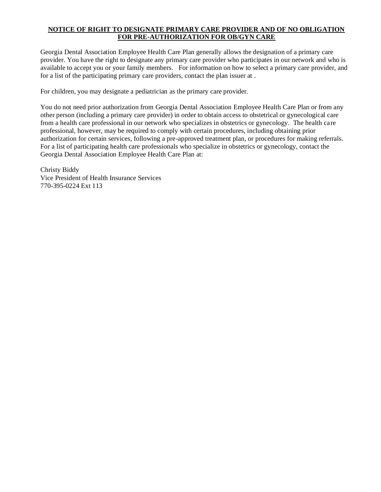#### **NOTICE OF RIGHT TO DESIGNATE PRIMARY CARE PROVIDER AND OF NO OBLIGATION FOR PRE-AUTHORIZATION FOR OB/GYN CARE**

Georgia Dental Association Employee Health Care Plan generally allows the designation of a primary care provider. You have the right to designate any primary care provider who participates in our network and who is available to accept you or your family members. For information on how to select a primary care provider, and for a list of the participating primary care providers, contact the plan issuer at .

For children, you may designate a pediatrician as the primary care provider.

You do not need prior authorization from Georgia Dental Association Employee Health Care Plan or from any other person (including a primary care provider) in order to obtain access to obstetrical or gynecological care from a health care professional in our network who specializes in obstetrics or gynecology. The health care professional, however, may be required to comply with certain procedures, including obtaining prior authorization for certain services, following a pre-approved treatment plan, or procedures for making referrals. For a list of participating health care professionals who specialize in obstetrics or gynecology, contact the Georgia Dental Association Employee Health Care Plan at:

Christy Biddy Vice President of Health Insurance Services 770-395-0224 Ext 113